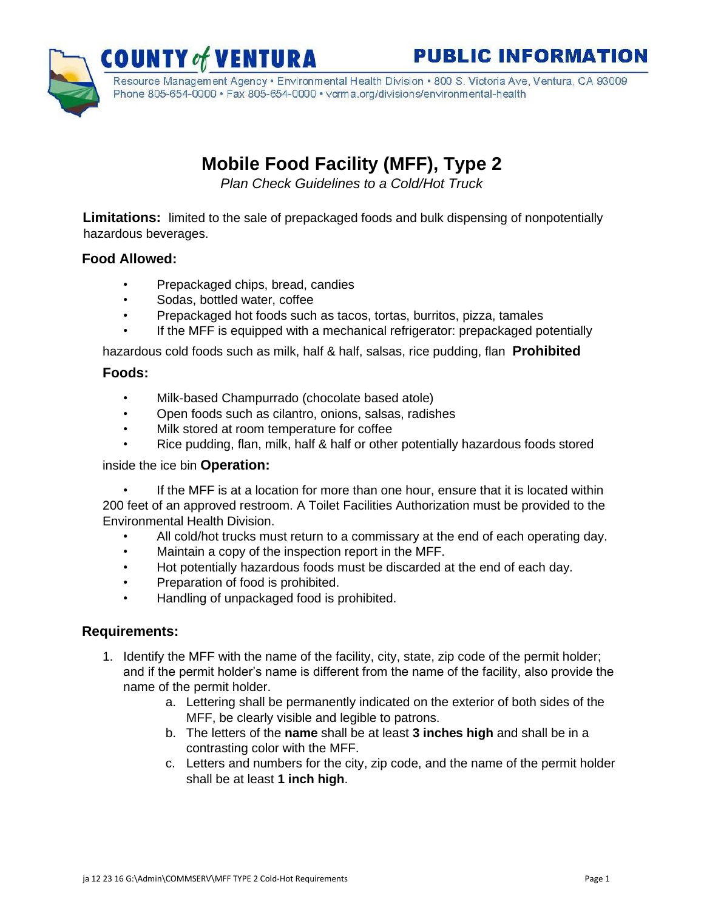**PUBLIC INFORMATION** 



Resource Management Agency · Environmental Health Division · 800 S. Victoria Ave, Ventura, CA 93009 Phone 805-654-0000 · Fax 805-654-0000 · vcrma.org/divisions/environmental-health

# **Mobile Food Facility (MFF), Type 2**

*Plan Check Guidelines to a Cold/Hot Truck* 

**Limitations:** limited to the sale of prepackaged foods and bulk dispensing of nonpotentially hazardous beverages.

## **Food Allowed:**

- Prepackaged chips, bread, candies
- Sodas, bottled water, coffee
- Prepackaged hot foods such as tacos, tortas, burritos, pizza, tamales
- If the MFF is equipped with a mechanical refrigerator: prepackaged potentially

hazardous cold foods such as milk, half & half, salsas, rice pudding, flan **Prohibited** 

#### **Foods:**

- Milk-based Champurrado (chocolate based atole)
- Open foods such as cilantro, onions, salsas, radishes
- Milk stored at room temperature for coffee
- Rice pudding, flan, milk, half & half or other potentially hazardous foods stored

#### inside the ice bin **Operation:**

If the MFF is at a location for more than one hour, ensure that it is located within 200 feet of an approved restroom. A Toilet Facilities Authorization must be provided to the Environmental Health Division.

- All cold/hot trucks must return to a commissary at the end of each operating day.
- Maintain a copy of the inspection report in the MFF.
- Hot potentially hazardous foods must be discarded at the end of each day.
- Preparation of food is prohibited.
- Handling of unpackaged food is prohibited.

### **Requirements:**

- 1. Identify the MFF with the name of the facility, city, state, zip code of the permit holder; and if the permit holder's name is different from the name of the facility, also provide the name of the permit holder.
	- a. Lettering shall be permanently indicated on the exterior of both sides of the MFF, be clearly visible and legible to patrons.
	- b. The letters of the **name** shall be at least **3 inches high** and shall be in a contrasting color with the MFF.
	- c. Letters and numbers for the city, zip code, and the name of the permit holder shall be at least **1 inch high**.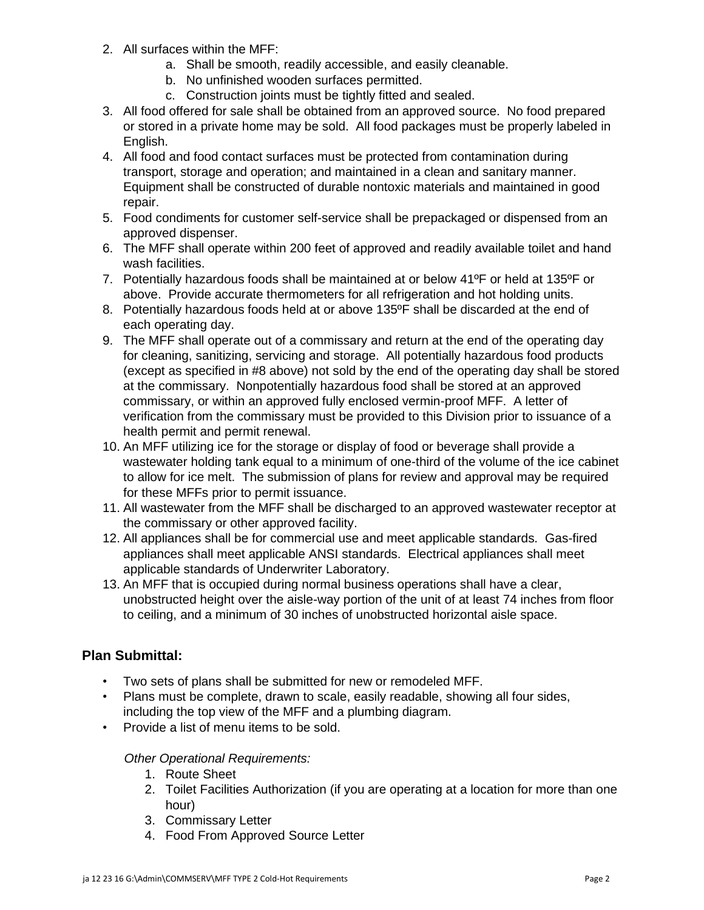- 2. All surfaces within the MFF:
	- a. Shall be smooth, readily accessible, and easily cleanable.
	- b. No unfinished wooden surfaces permitted.
	- c. Construction joints must be tightly fitted and sealed.
- 3. All food offered for sale shall be obtained from an approved source. No food prepared or stored in a private home may be sold. All food packages must be properly labeled in English.
- 4. All food and food contact surfaces must be protected from contamination during transport, storage and operation; and maintained in a clean and sanitary manner. Equipment shall be constructed of durable nontoxic materials and maintained in good repair.
- 5. Food condiments for customer self-service shall be prepackaged or dispensed from an approved dispenser.
- 6. The MFF shall operate within 200 feet of approved and readily available toilet and hand wash facilities.
- 7. Potentially hazardous foods shall be maintained at or below 41ºF or held at 135ºF or above. Provide accurate thermometers for all refrigeration and hot holding units.
- 8. Potentially hazardous foods held at or above 135ºF shall be discarded at the end of each operating day.
- 9. The MFF shall operate out of a commissary and return at the end of the operating day for cleaning, sanitizing, servicing and storage. All potentially hazardous food products (except as specified in #8 above) not sold by the end of the operating day shall be stored at the commissary. Nonpotentially hazardous food shall be stored at an approved commissary, or within an approved fully enclosed vermin-proof MFF. A letter of verification from the commissary must be provided to this Division prior to issuance of a health permit and permit renewal.
- 10. An MFF utilizing ice for the storage or display of food or beverage shall provide a wastewater holding tank equal to a minimum of one-third of the volume of the ice cabinet to allow for ice melt. The submission of plans for review and approval may be required for these MFFs prior to permit issuance.
- 11. All wastewater from the MFF shall be discharged to an approved wastewater receptor at the commissary or other approved facility.
- 12. All appliances shall be for commercial use and meet applicable standards. Gas-fired appliances shall meet applicable ANSI standards. Electrical appliances shall meet applicable standards of Underwriter Laboratory.
- 13. An MFF that is occupied during normal business operations shall have a clear, unobstructed height over the aisle-way portion of the unit of at least 74 inches from floor to ceiling, and a minimum of 30 inches of unobstructed horizontal aisle space.

### **Plan Submittal:**

- Two sets of plans shall be submitted for new or remodeled MFF.
- Plans must be complete, drawn to scale, easily readable, showing all four sides, including the top view of the MFF and a plumbing diagram.
- Provide a list of menu items to be sold.

#### *Other Operational Requirements:*

- 1. Route Sheet
- 2. Toilet Facilities Authorization (if you are operating at a location for more than one hour)
- 3. Commissary Letter
- 4. Food From Approved Source Letter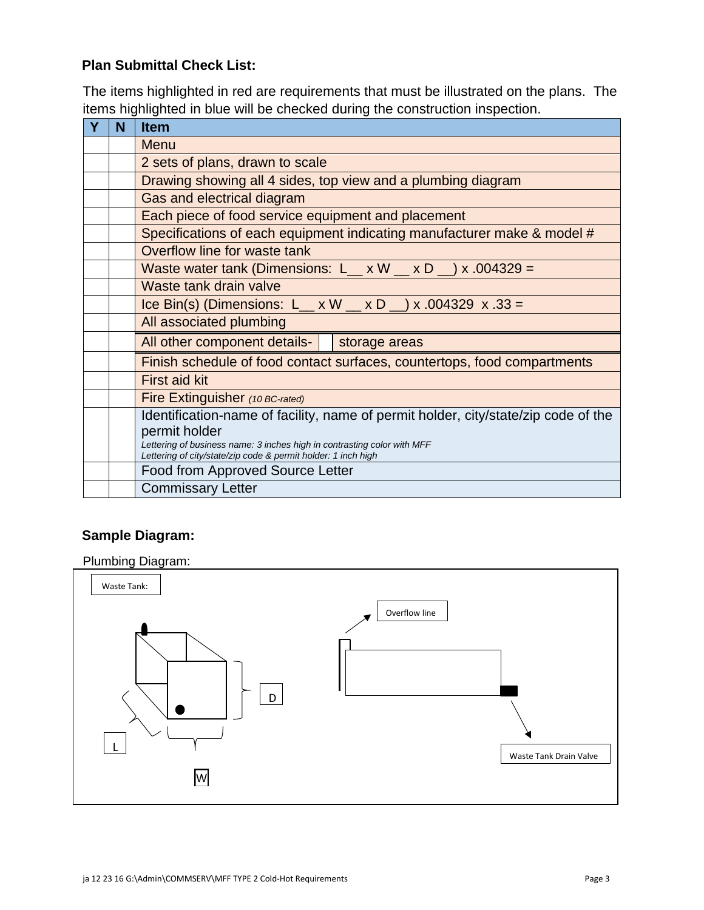# **Plan Submittal Check List:**

The items highlighted in red are requirements that must be illustrated on the plans. The items highlighted in blue will be checked during the construction inspection.

| N | <b>Item</b>                                                                                                                              |
|---|------------------------------------------------------------------------------------------------------------------------------------------|
|   | <b>Menu</b>                                                                                                                              |
|   | 2 sets of plans, drawn to scale                                                                                                          |
|   | Drawing showing all 4 sides, top view and a plumbing diagram                                                                             |
|   | Gas and electrical diagram                                                                                                               |
|   | Each piece of food service equipment and placement                                                                                       |
|   | Specifications of each equipment indicating manufacturer make & model #                                                                  |
|   | Overflow line for waste tank                                                                                                             |
|   | Waste water tank (Dimensions: L__ x W __ x D _) x .004329 =                                                                              |
|   | Waste tank drain valve                                                                                                                   |
|   | Ice Bin(s) (Dimensions: L_ x W _ x D _) x .004329 x .33 =                                                                                |
|   | All associated plumbing                                                                                                                  |
|   | All other component details-   storage areas                                                                                             |
|   | Finish schedule of food contact surfaces, countertops, food compartments                                                                 |
|   | <b>First aid kit</b>                                                                                                                     |
|   | Fire Extinguisher (10 BC-rated)                                                                                                          |
|   | Identification-name of facility, name of permit holder, city/state/zip code of the                                                       |
|   | permit holder                                                                                                                            |
|   | Lettering of business name: 3 inches high in contrasting color with MFF<br>Lettering of city/state/zip code & permit holder: 1 inch high |
|   | Food from Approved Source Letter                                                                                                         |
|   | <b>Commissary Letter</b>                                                                                                                 |

## **Sample Diagram:**

Plumbing Diagram:

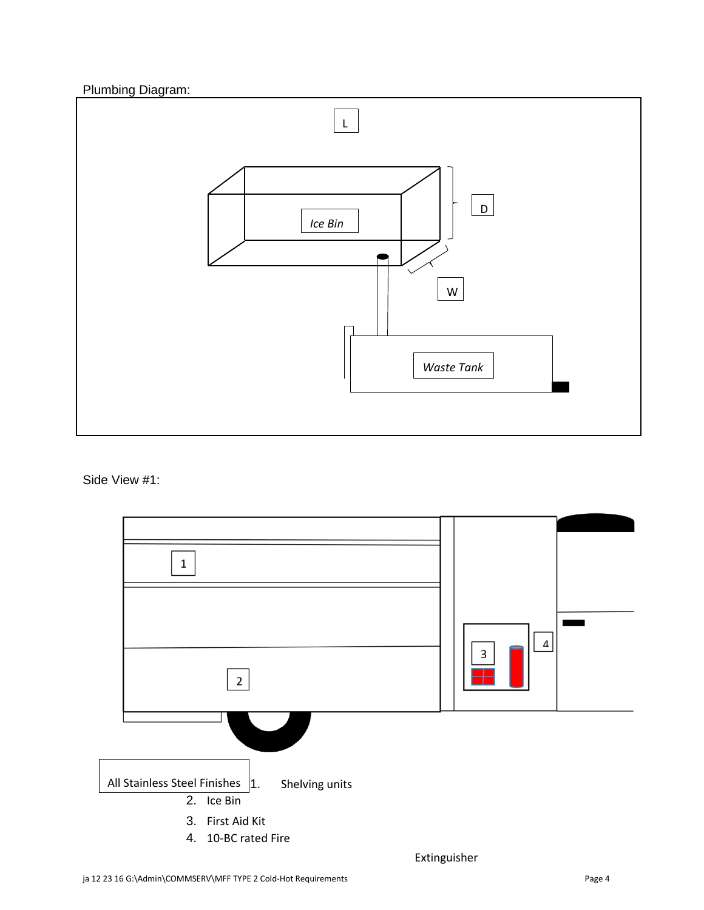Plumbing Diagram:



Side View #1:



Extinguisher